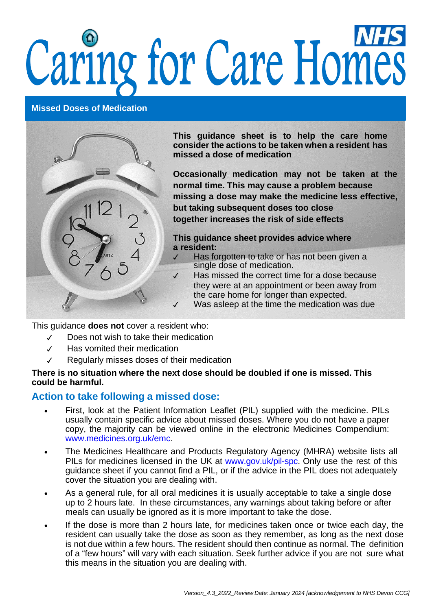# Caring for Care Homes

### **Missed Doses of Medication**



**This guidance sheet is to help the care home consider the actions to be taken when a resident has missed a dose of medication**

**Occasionally medication may not be taken at the normal time. This may cause a problem because missing a dose may make the medicine less effective, but taking subsequent doses too close together increases the risk of side effects**

**This guidance sheet provides advice where a resident:**

- Has forgotten to take or has not been given a single dose of medication.
- ✓ Has missed the correct time for a dose because they were at an appointment or been away from the care home for longer than expected.
- ✓ Was asleep at the time the medication was due

This guidance **does not** cover a resident who:

- ✓ Does not wish to take their medication
- ✓ Has vomited their medication
- ✓ Regularly misses doses of their medication

### **There is no situation where the next dose should be doubled if one is missed. This could be harmful.**

## **Action to take following a missed dose:**

- First, look at the Patient Information Leaflet (PIL) supplied with the medicine. PILs usually contain specific advice about missed doses. Where you do not have a paper copy, the majority can be viewed online in the electronic Medicines Compendium: [www.medicines.org.uk/emc.](http://www.medicines.org.uk/emc)
- The Medicines [Healthcare](http://www.medicines.org.uk/EMC/) and Products Regulatory Agency (MHRA) website lists all [PILs](http://www.medicines.org.uk/EMC/) for [medicines](http://www.medicines.org.uk/EMC/) licensed in the UK at [www.gov.uk/pil-spc.](http://www.gov.uk/pil-spc) Only use the rest of this guidance sheet if you cannot find a PIL, or if the advice in the PIL does not adequately cover the situation you are dealing with.
- As a general rule, for all oral medicines it is usually acceptable to take a single dose up to 2 hours late. In these circumstances, any warnings about taking before or after meals can usually be ignored as it is more important to take the dose.
- If the dose is more than 2 hours late, for medicines taken once or twice each day, the resident can usually take the dose as soon as they remember, as long as the next dose is not due within a few hours. The resident should then continue as normal. The definition of a "few hours" will vary with each situation. Seek further advice if you are not sure what this means in the situation you are dealing with.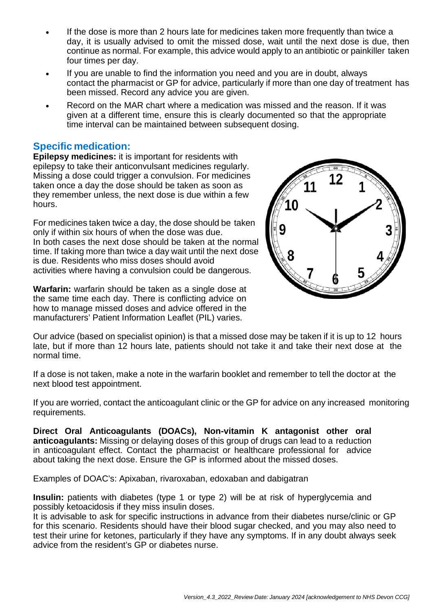- If the dose is more than 2 hours late for medicines taken more frequently than twice a day, it is usually advised to omit the missed dose, wait until the next dose is due, then continue as normal. For example, this advice would apply to an antibiotic or painkiller taken four times per day.
- If you are unable to find the information you need and you are in doubt, always contact the pharmacist or GP for advice, particularly if more than one day of treatment has been missed. Record any advice you are given.
- Record on the MAR chart where a medication was missed and the reason. If it was given at a different time, ensure this is clearly documented so that the appropriate time interval can be maintained between subsequent dosing.

# **Specific medication:**

**Epilepsy medicines:** it is important for residents with epilepsy to take their anticonvulsant medicines regularly. Missing a dose could trigger a convulsion. For medicines taken once a day the dose should be taken as soon as they remember unless, the next dose is due within a few hours.

For medicines taken twice a day, the dose should be taken only if within six hours of when the dose was due. In both cases the next dose should be taken at the normal time. If taking more than twice a day wait until the next dose is due. Residents who miss doses should avoid activities where having a convulsion could be dangerous.

**Warfarin:** warfarin should be taken as a single dose at the same time each day. There is conflicting advice on how to manage missed doses and advice offered in the manufacturers' Patient Information Leaflet (PIL) varies.



Our advice (based on specialist opinion) is that a missed dose may be taken if it is up to 12 hours late, but if more than 12 hours late, patients should not take it and take their next dose at the normal time.

If a dose is not taken, make a note in the warfarin booklet and remember to tell the doctor at the next blood test appointment.

If you are worried, contact the anticoagulant clinic or the GP for advice on any increased monitoring requirements.

**Direct Oral Anticoagulants (DOACs), Non-vitamin K antagonist other oral anticoagulants:** Missing or delaying doses of this group of drugs can lead to a reduction in anticoagulant effect. Contact the pharmacist or healthcare professional for advice about taking the next dose. Ensure the GP is informed about the missed doses.

Examples of DOAC's: Apixaban, rivaroxaban, edoxaban and dabigatran

**Insulin:** patients with diabetes (type 1 or type 2) will be at risk of hyperglycemia and possibly ketoacidosis if they miss insulin doses.

It is advisable to ask for specific instructions in advance from their diabetes nurse/clinic or GP for this scenario. Residents should have their blood sugar checked, and you may also need to test their urine for ketones, particularly if they have any symptoms. If in any doubt always seek advice from the resident's GP or diabetes nurse.